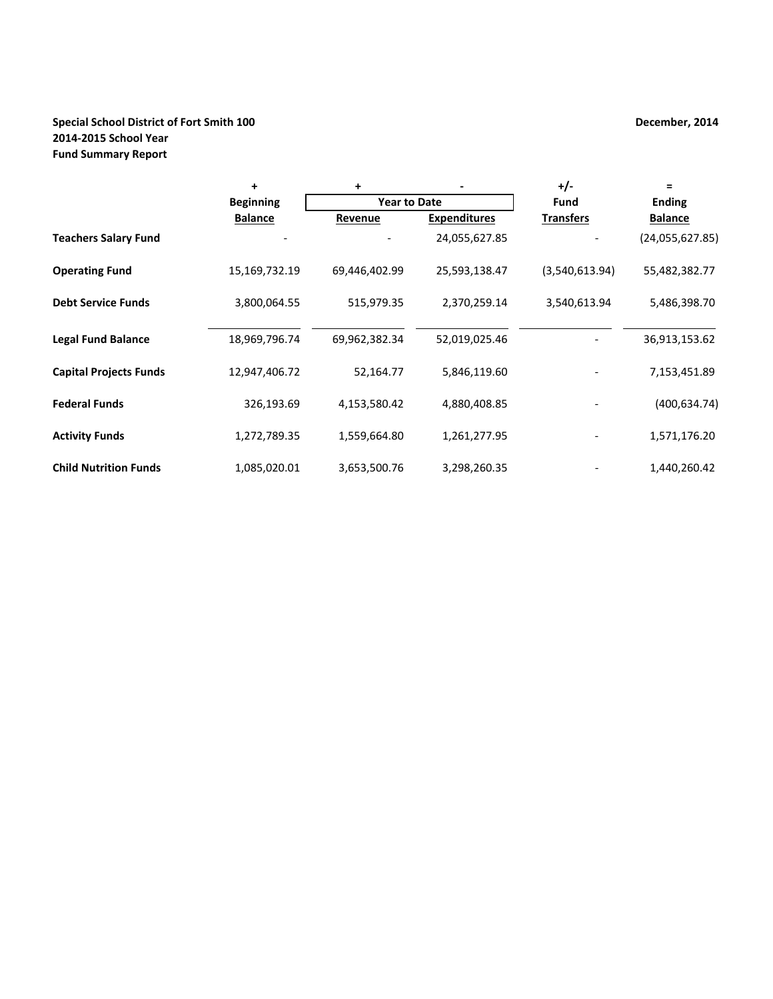# **Special School District of Fort Smith 100 December, 2014 2014‐2015 School Year Fund Summary Report**

|                               | $\ddot{}$        | +                   |                     | $+/-$            | $=$             |
|-------------------------------|------------------|---------------------|---------------------|------------------|-----------------|
|                               | <b>Beginning</b> | <b>Year to Date</b> |                     | Fund             | <b>Ending</b>   |
|                               | <b>Balance</b>   | Revenue             | <b>Expenditures</b> | <b>Transfers</b> | <b>Balance</b>  |
| <b>Teachers Salary Fund</b>   |                  |                     | 24,055,627.85       |                  | (24,055,627.85) |
| <b>Operating Fund</b>         | 15,169,732.19    | 69,446,402.99       | 25,593,138.47       | (3,540,613.94)   | 55,482,382.77   |
| <b>Debt Service Funds</b>     | 3,800,064.55     | 515,979.35          | 2,370,259.14        | 3,540,613.94     | 5,486,398.70    |
| <b>Legal Fund Balance</b>     | 18,969,796.74    | 69,962,382.34       | 52,019,025.46       |                  | 36,913,153.62   |
| <b>Capital Projects Funds</b> | 12,947,406.72    | 52,164.77           | 5,846,119.60        |                  | 7,153,451.89    |
| <b>Federal Funds</b>          | 326,193.69       | 4,153,580.42        | 4,880,408.85        |                  | (400, 634.74)   |
| <b>Activity Funds</b>         | 1,272,789.35     | 1,559,664.80        | 1,261,277.95        |                  | 1,571,176.20    |
| <b>Child Nutrition Funds</b>  | 1,085,020.01     | 3,653,500.76        | 3,298,260.35        |                  | 1,440,260.42    |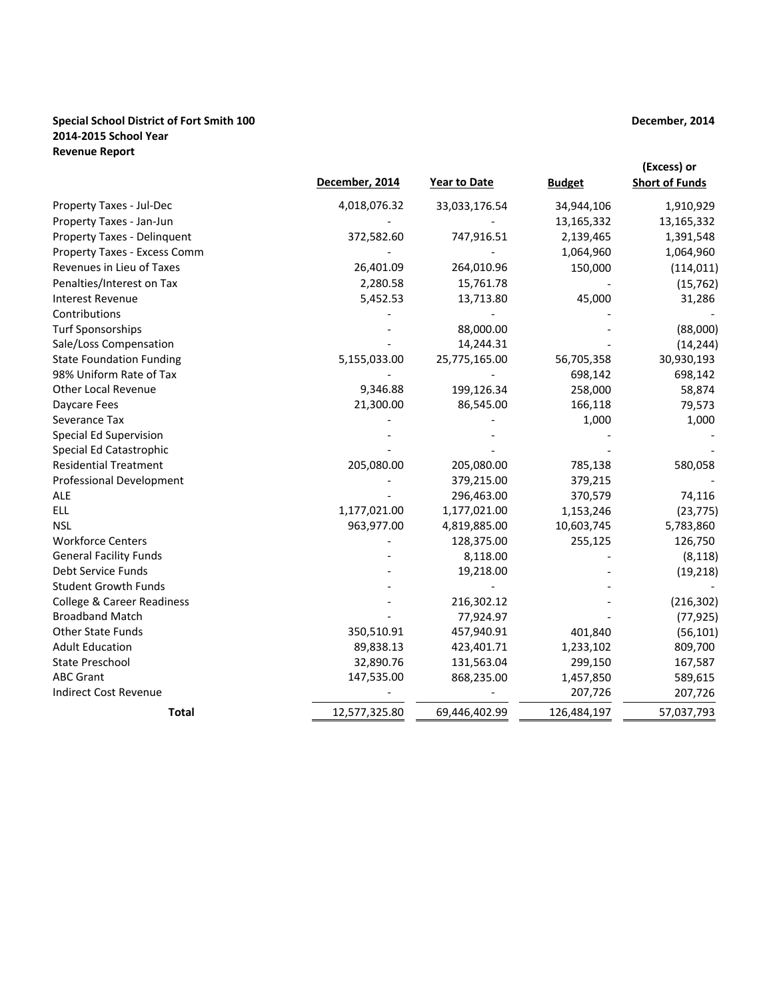#### **Special School District of Fort Smith 100 2014‐2015 School Year Revenue Report**

|                                       | December, 2014 | <b>Year to Date</b> | <b>Budget</b> | (Excess) or<br><b>Short of Funds</b> |
|---------------------------------------|----------------|---------------------|---------------|--------------------------------------|
| Property Taxes - Jul-Dec              | 4,018,076.32   | 33,033,176.54       | 34,944,106    | 1,910,929                            |
| Property Taxes - Jan-Jun              |                |                     | 13,165,332    | 13,165,332                           |
| Property Taxes - Delinquent           | 372,582.60     | 747,916.51          | 2,139,465     | 1,391,548                            |
| Property Taxes - Excess Comm          |                |                     | 1,064,960     | 1,064,960                            |
| Revenues in Lieu of Taxes             | 26,401.09      | 264,010.96          | 150,000       | (114, 011)                           |
| Penalties/Interest on Tax             | 2,280.58       | 15,761.78           |               | (15, 762)                            |
| <b>Interest Revenue</b>               | 5,452.53       | 13,713.80           | 45,000        | 31,286                               |
| Contributions                         |                |                     |               |                                      |
| <b>Turf Sponsorships</b>              |                | 88,000.00           |               | (88,000)                             |
| Sale/Loss Compensation                |                | 14,244.31           |               | (14, 244)                            |
| <b>State Foundation Funding</b>       | 5,155,033.00   | 25,775,165.00       | 56,705,358    | 30,930,193                           |
| 98% Uniform Rate of Tax               |                |                     | 698,142       | 698,142                              |
| <b>Other Local Revenue</b>            | 9,346.88       | 199,126.34          | 258,000       | 58,874                               |
| Daycare Fees                          | 21,300.00      | 86,545.00           | 166,118       | 79,573                               |
| Severance Tax                         |                |                     | 1,000         | 1,000                                |
| <b>Special Ed Supervision</b>         |                |                     |               |                                      |
| Special Ed Catastrophic               |                |                     |               |                                      |
| <b>Residential Treatment</b>          | 205,080.00     | 205,080.00          | 785,138       | 580,058                              |
| <b>Professional Development</b>       |                | 379,215.00          | 379,215       |                                      |
| ALE                                   |                | 296,463.00          | 370,579       | 74,116                               |
| ELL                                   | 1,177,021.00   | 1,177,021.00        | 1,153,246     | (23, 775)                            |
| <b>NSL</b>                            | 963,977.00     | 4,819,885.00        | 10,603,745    | 5,783,860                            |
| <b>Workforce Centers</b>              |                | 128,375.00          | 255,125       | 126,750                              |
| <b>General Facility Funds</b>         |                | 8,118.00            |               | (8, 118)                             |
| Debt Service Funds                    |                | 19,218.00           |               | (19, 218)                            |
| <b>Student Growth Funds</b>           |                |                     |               |                                      |
| <b>College &amp; Career Readiness</b> |                | 216,302.12          |               | (216, 302)                           |
| <b>Broadband Match</b>                |                | 77,924.97           |               | (77, 925)                            |
| <b>Other State Funds</b>              | 350,510.91     | 457,940.91          | 401,840       | (56, 101)                            |
| <b>Adult Education</b>                | 89,838.13      | 423,401.71          | 1,233,102     | 809,700                              |
| <b>State Preschool</b>                | 32,890.76      | 131,563.04          | 299,150       | 167,587                              |
| <b>ABC Grant</b>                      | 147,535.00     | 868,235.00          | 1,457,850     | 589,615                              |
| Indirect Cost Revenue                 |                |                     | 207,726       | 207,726                              |
| <b>Total</b>                          | 12,577,325.80  | 69,446,402.99       | 126,484,197   | 57,037,793                           |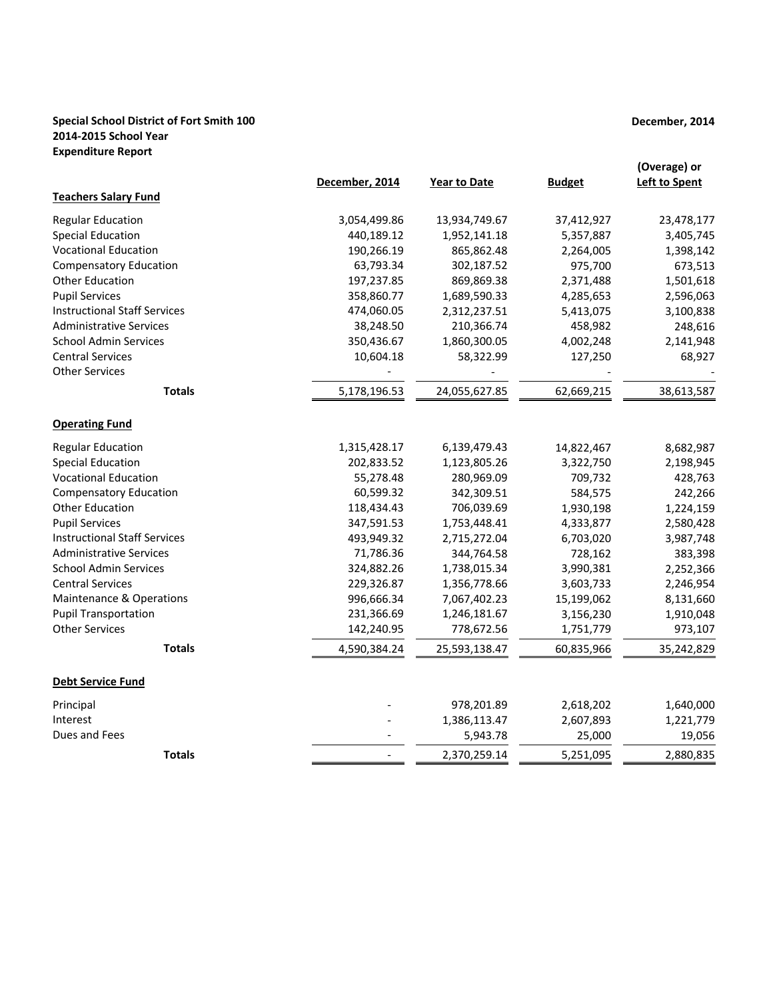### **Special School District of Fort Smith 100 2014‐2015 School Year Expenditure Report**

|                                     | December, 2014 | <b>Year to Date</b> | <b>Budget</b> | (Overage) or<br><b>Left to Spent</b> |
|-------------------------------------|----------------|---------------------|---------------|--------------------------------------|
| <b>Teachers Salary Fund</b>         |                |                     |               |                                      |
| <b>Regular Education</b>            | 3,054,499.86   | 13,934,749.67       | 37,412,927    | 23,478,177                           |
| <b>Special Education</b>            | 440,189.12     | 1,952,141.18        | 5,357,887     | 3,405,745                            |
| <b>Vocational Education</b>         | 190,266.19     | 865,862.48          | 2,264,005     | 1,398,142                            |
| <b>Compensatory Education</b>       | 63,793.34      | 302,187.52          | 975,700       | 673,513                              |
| <b>Other Education</b>              | 197,237.85     | 869,869.38          | 2,371,488     | 1,501,618                            |
| <b>Pupil Services</b>               | 358,860.77     | 1,689,590.33        | 4,285,653     | 2,596,063                            |
| <b>Instructional Staff Services</b> | 474,060.05     | 2,312,237.51        | 5,413,075     | 3,100,838                            |
| <b>Administrative Services</b>      | 38,248.50      | 210,366.74          | 458,982       | 248,616                              |
| <b>School Admin Services</b>        | 350,436.67     | 1,860,300.05        | 4,002,248     | 2,141,948                            |
| <b>Central Services</b>             | 10,604.18      | 58,322.99           | 127,250       | 68,927                               |
| <b>Other Services</b>               |                |                     |               |                                      |
| <b>Totals</b>                       | 5,178,196.53   | 24,055,627.85       | 62,669,215    | 38,613,587                           |
| <b>Operating Fund</b>               |                |                     |               |                                      |
| <b>Regular Education</b>            | 1,315,428.17   | 6,139,479.43        | 14,822,467    | 8,682,987                            |
| <b>Special Education</b>            | 202,833.52     | 1,123,805.26        | 3,322,750     | 2,198,945                            |
| <b>Vocational Education</b>         | 55,278.48      | 280,969.09          | 709,732       | 428,763                              |
| <b>Compensatory Education</b>       | 60,599.32      | 342,309.51          | 584,575       | 242,266                              |
| <b>Other Education</b>              | 118,434.43     | 706,039.69          | 1,930,198     | 1,224,159                            |
| <b>Pupil Services</b>               | 347,591.53     | 1,753,448.41        | 4,333,877     | 2,580,428                            |
| <b>Instructional Staff Services</b> | 493,949.32     | 2,715,272.04        | 6,703,020     | 3,987,748                            |
| <b>Administrative Services</b>      | 71,786.36      | 344,764.58          | 728,162       | 383,398                              |
| <b>School Admin Services</b>        | 324,882.26     | 1,738,015.34        | 3,990,381     | 2,252,366                            |
| <b>Central Services</b>             | 229,326.87     | 1,356,778.66        | 3,603,733     | 2,246,954                            |
| <b>Maintenance &amp; Operations</b> | 996,666.34     | 7,067,402.23        | 15,199,062    | 8,131,660                            |
| <b>Pupil Transportation</b>         | 231,366.69     | 1,246,181.67        | 3,156,230     | 1,910,048                            |
| <b>Other Services</b>               | 142,240.95     | 778,672.56          | 1,751,779     | 973,107                              |
| <b>Totals</b>                       | 4,590,384.24   | 25,593,138.47       | 60,835,966    | 35,242,829                           |
| <b>Debt Service Fund</b>            |                |                     |               |                                      |
| Principal                           |                | 978,201.89          | 2,618,202     | 1,640,000                            |
| Interest                            |                | 1,386,113.47        | 2,607,893     | 1,221,779                            |
| Dues and Fees                       |                | 5,943.78            | 25,000        | 19,056                               |
| <b>Totals</b>                       |                | 2,370,259.14        | 5,251,095     | 2,880,835                            |

# **December, 2014**